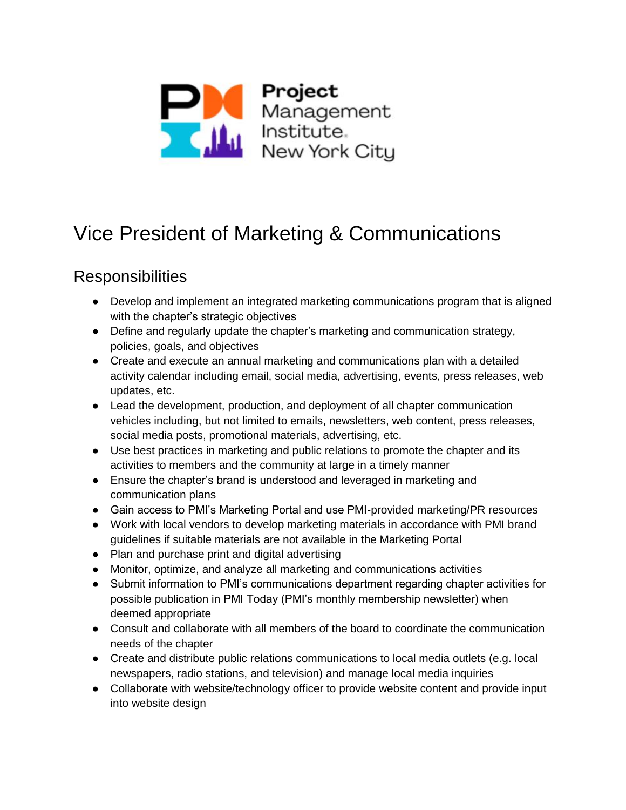

## Vice President of Marketing & Communications

## **Responsibilities**

- Develop and implement an integrated marketing communications program that is aligned with the chapter's strategic objectives
- Define and regularly update the chapter's marketing and communication strategy, policies, goals, and objectives
- Create and execute an annual marketing and communications plan with a detailed activity calendar including email, social media, advertising, events, press releases, web updates, etc.
- Lead the development, production, and deployment of all chapter communication vehicles including, but not limited to emails, newsletters, web content, press releases, social media posts, promotional materials, advertising, etc.
- Use best practices in marketing and public relations to promote the chapter and its activities to members and the community at large in a timely manner
- Ensure the chapter's brand is understood and leveraged in marketing and communication plans
- Gain access to PMI's Marketing Portal and use PMI-provided marketing/PR resources
- Work with local vendors to develop marketing materials in accordance with PMI brand guidelines if suitable materials are not available in the Marketing Portal
- Plan and purchase print and digital advertising
- Monitor, optimize, and analyze all marketing and communications activities
- Submit information to PMI's communications department regarding chapter activities for possible publication in PMI Today (PMI's monthly membership newsletter) when deemed appropriate
- Consult and collaborate with all members of the board to coordinate the communication needs of the chapter
- Create and distribute public relations communications to local media outlets (e.g. local newspapers, radio stations, and television) and manage local media inquiries
- Collaborate with website/technology officer to provide website content and provide input into website design